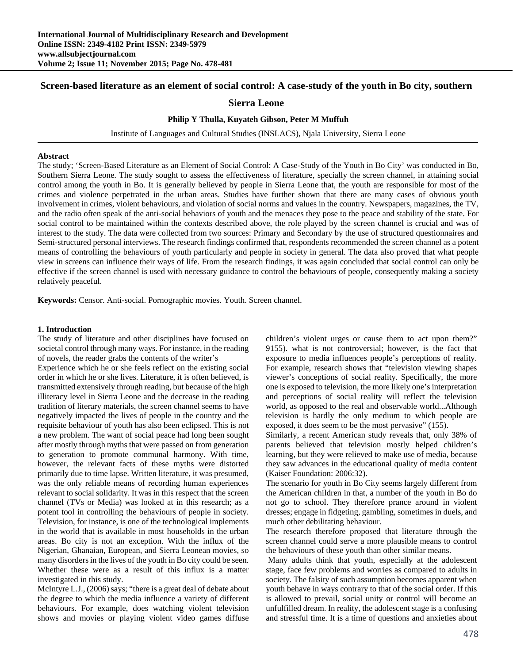# **Screen-based literature as an element of social control: A case-study of the youth in Bo city, southern**

# **Sierra Leone**

## **Philip Y Thulla, Kuyateh Gibson, Peter M Muffuh**

Institute of Languages and Cultural Studies (INSLACS), Njala University, Sierra Leone

#### **Abstract**

The study; 'Screen-Based Literature as an Element of Social Control: A Case-Study of the Youth in Bo City' was conducted in Bo, Southern Sierra Leone. The study sought to assess the effectiveness of literature, specially the screen channel, in attaining social control among the youth in Bo. It is generally believed by people in Sierra Leone that, the youth are responsible for most of the crimes and violence perpetrated in the urban areas. Studies have further shown that there are many cases of obvious youth involvement in crimes, violent behaviours, and violation of social norms and values in the country. Newspapers, magazines, the TV, and the radio often speak of the anti-social behaviors of youth and the menaces they pose to the peace and stability of the state. For social control to be maintained within the contexts described above, the role played by the screen channel is crucial and was of interest to the study. The data were collected from two sources: Primary and Secondary by the use of structured questionnaires and Semi-structured personal interviews. The research findings confirmed that, respondents recommended the screen channel as a potent means of controlling the behaviours of youth particularly and people in society in general. The data also proved that what people view in screens can influence their ways of life. From the research findings, it was again concluded that social control can only be effective if the screen channel is used with necessary guidance to control the behaviours of people, consequently making a society relatively peaceful.

**Keywords:** Censor. Anti-social. Pornographic movies. Youth. Screen channel.

#### **1. Introduction**

The study of literature and other disciplines have focused on societal control through many ways. For instance, in the reading of novels, the reader grabs the contents of the writer's

Experience which he or she feels reflect on the existing social order in which he or she lives. Literature, it is often believed, is transmitted extensively through reading, but because of the high illiteracy level in Sierra Leone and the decrease in the reading tradition of literary materials, the screen channel seems to have negatively impacted the lives of people in the country and the requisite behaviour of youth has also been eclipsed. This is not a new problem. The want of social peace had long been sought after mostly through myths that were passed on from generation to generation to promote communal harmony. With time, however, the relevant facts of these myths were distorted primarily due to time lapse. Written literature, it was presumed, was the only reliable means of recording human experiences relevant to social solidarity. It was in this respect that the screen channel (TVs or Media) was looked at in this research; as a potent tool in controlling the behaviours of people in society. Television, for instance, is one of the technological implements in the world that is available in most households in the urban areas. Bo city is not an exception. With the influx of the Nigerian, Ghanaian, European, and Sierra Leonean movies, so many disorders in the lives of the youth in Bo city could be seen. Whether these were as a result of this influx is a matter investigated in this study.

McIntyre L.J., (2006) says; "there is a great deal of debate about the degree to which the media influence a variety of different behaviours. For example, does watching violent television shows and movies or playing violent video games diffuse

children's violent urges or cause them to act upon them?" 9155). what is not controversial; however, is the fact that exposure to media influences people's perceptions of reality. For example, research shows that "television viewing shapes viewer's conceptions of social reality. Specifically, the more one is exposed to television, the more likely one's interpretation and perceptions of social reality will reflect the television world, as opposed to the real and observable world...Although television is hardly the only medium to which people are exposed, it does seem to be the most pervasive" (155).

Similarly, a recent American study reveals that, only 38% of parents believed that television mostly helped children's learning, but they were relieved to make use of media, because they saw advances in the educational quality of media content (Kaiser Foundation: 2006:32).

The scenario for youth in Bo City seems largely different from the American children in that, a number of the youth in Bo do not go to school. They therefore prance around in violent dresses; engage in fidgeting, gambling, sometimes in duels, and much other debilitating behaviour.

The research therefore proposed that literature through the screen channel could serve a more plausible means to control the behaviours of these youth than other similar means.

Many adults think that youth, especially at the adolescent stage, face few problems and worries as compared to adults in society. The falsity of such assumption becomes apparent when youth behave in ways contrary to that of the social order. If this is allowed to prevail, social unity or control will become an unfulfilled dream. In reality, the adolescent stage is a confusing and stressful time. It is a time of questions and anxieties about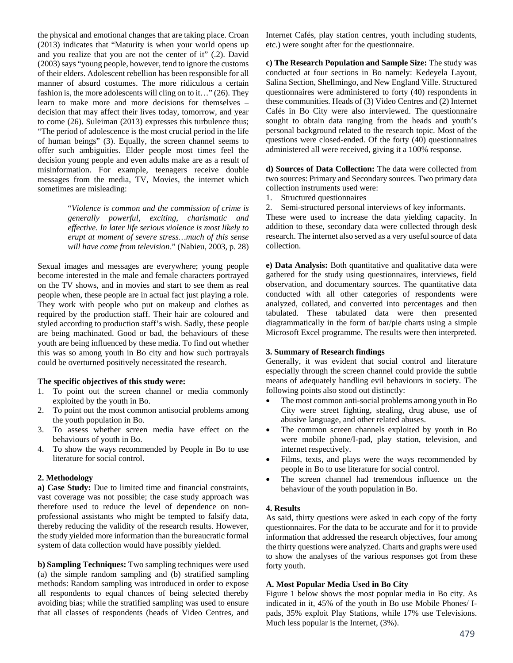the physical and emotional changes that are taking place. Croan (2013) indicates that "Maturity is when your world opens up and you realize that you are not the center of it" (.2). David (2003) says "young people, however, tend to ignore the customs of their elders. Adolescent rebellion has been responsible for all manner of absurd costumes. The more ridiculous a certain fashion is, the more adolescents will cling on to it…" (26). They learn to make more and more decisions for themselves – decision that may affect their lives today, tomorrow, and year to come (26). Suleiman (2013) expresses this turbulence thus; "The period of adolescence is the most crucial period in the life of human beings" (3). Equally, the screen channel seems to offer such ambiguities. Elder people most times feel the decision young people and even adults make are as a result of misinformation. For example, teenagers receive double messages from the media, TV, Movies, the internet which sometimes are misleading:

> "*Violence is common and the commission of crime is generally powerful, exciting, charismatic and effective. In later life serious violence is most likely to erupt at moment of severe stress…much of this sense will have come from television*." (Nabieu, 2003, p. 28)

Sexual images and messages are everywhere; young people become interested in the male and female characters portrayed on the TV shows, and in movies and start to see them as real people when, these people are in actual fact just playing a role. They work with people who put on makeup and clothes as required by the production staff. Their hair are coloured and styled according to production staff's wish. Sadly, these people are being machinated. Good or bad, the behaviours of these youth are being influenced by these media. To find out whether this was so among youth in Bo city and how such portrayals could be overturned positively necessitated the research.

# **The specific objectives of this study were:**

- 1. To point out the screen channel or media commonly exploited by the youth in Bo.
- 2. To point out the most common antisocial problems among the youth population in Bo.
- 3. To assess whether screen media have effect on the behaviours of youth in Bo.
- 4. To show the ways recommended by People in Bo to use literature for social control.

#### **2. Methodology**

**a) Case Study:** Due to limited time and financial constraints, vast coverage was not possible; the case study approach was therefore used to reduce the level of dependence on nonprofessional assistants who might be tempted to falsify data, thereby reducing the validity of the research results. However, the study yielded more information than the bureaucratic formal system of data collection would have possibly yielded.

**b) Sampling Techniques:** Two sampling techniques were used (a) the simple random sampling and (b) stratified sampling methods: Random sampling was introduced in order to expose all respondents to equal chances of being selected thereby avoiding bias; while the stratified sampling was used to ensure that all classes of respondents (heads of Video Centres, and Internet Cafés, play station centres, youth including students, etc.) were sought after for the questionnaire.

**c) The Research Population and Sample Size:** The study was conducted at four sections in Bo namely: Kedeyela Layout, Salina Section, Shellmingo, and New England Ville. Structured questionnaires were administered to forty (40) respondents in these communities. Heads of (3) Video Centres and (2) Internet Cafés in Bo City were also interviewed. The questionnaire sought to obtain data ranging from the heads and youth's personal background related to the research topic. Most of the questions were closed-ended. Of the forty (40) questionnaires administered all were received, giving it a 100% response.

**d) Sources of Data Collection:** The data were collected from two sources: Primary and Secondary sources. Two primary data collection instruments used were:

1. Structured questionnaires

2. Semi-structured personal interviews of key informants.

These were used to increase the data yielding capacity. In addition to these, secondary data were collected through desk research. The internet also served as a very useful source of data collection.

**e) Data Analysis:** Both quantitative and qualitative data were gathered for the study using questionnaires, interviews, field observation, and documentary sources. The quantitative data conducted with all other categories of respondents were analyzed, collated, and converted into percentages and then tabulated. These tabulated data were then presented diagrammatically in the form of bar/pie charts using a simple Microsoft Excel programme. The results were then interpreted.

## **3. Summary of Research findings**

Generally, it was evident that social control and literature especially through the screen channel could provide the subtle means of adequately handling evil behaviours in society. The following points also stood out distinctly:

- The most common anti-social problems among youth in Bo City were street fighting, stealing, drug abuse, use of abusive language, and other related abuses.
- The common screen channels exploited by youth in Bo were mobile phone/I-pad, play station, television, and internet respectively.
- Films, texts, and plays were the ways recommended by people in Bo to use literature for social control.
- The screen channel had tremendous influence on the behaviour of the youth population in Bo.

### **4. Results**

As said, thirty questions were asked in each copy of the forty questionnaires. For the data to be accurate and for it to provide information that addressed the research objectives, four among the thirty questions were analyzed. Charts and graphs were used to show the analyses of the various responses got from these forty youth.

# **A. Most Popular Media Used in Bo City**

Figure 1 below shows the most popular media in Bo city. As indicated in it, 45% of the youth in Bo use Mobile Phones/ Ipads, 35% exploit Play Stations, while 17% use Televisions. Much less popular is the Internet, (3%).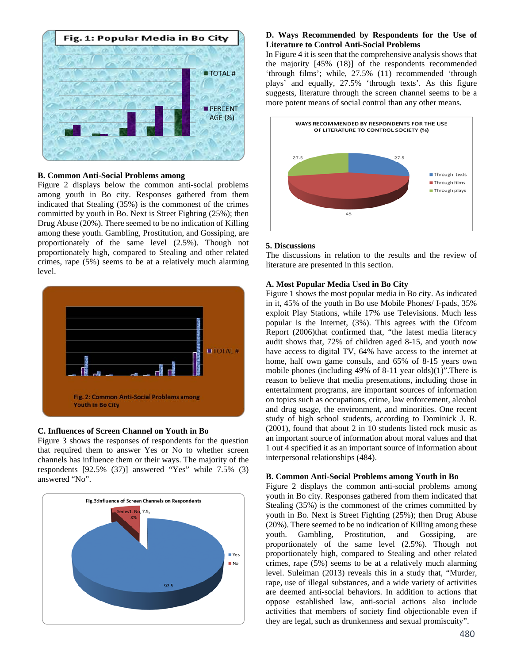

# **B. Common Anti-Social Problems among**

Figure 2 displays below the common anti-social problems among youth in Bo city. Responses gathered from them indicated that Stealing (35%) is the commonest of the crimes committed by youth in Bo. Next is Street Fighting (25%); then Drug Abuse (20%). There seemed to be no indication of Killing among these youth. Gambling, Prostitution, and Gossiping, are proportionately of the same level (2.5%). Though not proportionately high, compared to Stealing and other related crimes, rape (5%) seems to be at a relatively much alarming level.



### **C. Influences of Screen Channel on Youth in Bo**

Figure 3 shows the responses of respondents for the question that required them to answer Yes or No to whether screen channels has influence them or their ways. The majority of the respondents [92.5% (37)] answered "Yes" while 7.5% (3) answered "No".



## **D. Ways Recommended by Respondents for the Use of Literature to Control Anti-Social Problems**

In Figure 4 it is seen that the comprehensive analysis shows that the majority [45% (18)] of the respondents recommended 'through films'; while, 27.5% (11) recommended 'through plays' and equally, 27.5% 'through texts'. As this figure suggests, literature through the screen channel seems to be a more potent means of social control than any other means.



#### **5. Discussions**

The discussions in relation to the results and the review of literature are presented in this section.

#### **A. Most Popular Media Used in Bo City**

Figure 1 shows the most popular media in Bo city. As indicated in it, 45% of the youth in Bo use Mobile Phones/ I-pads, 35% exploit Play Stations, while 17% use Televisions. Much less popular is the Internet, (3%). This agrees with the Ofcom Report (2006)that confirmed that, "the latest media literacy audit shows that, 72% of children aged 8-15, and youth now have access to digital TV, 64% have access to the internet at home, half own game consuls, and 65% of 8-15 years own mobile phones (including 49% of 8-11 year olds)(1)".There is reason to believe that media presentations, including those in entertainment programs, are important sources of information on topics such as occupations, crime, law enforcement, alcohol and drug usage, the environment, and minorities. One recent study of high school students, according to Dominick J. R. (2001), found that about 2 in 10 students listed rock music as an important source of information about moral values and that 1 out 4 specified it as an important source of information about interpersonal relationships (484).

#### **B. Common Anti-Social Problems among Youth in Bo**

Figure 2 displays the common anti-social problems among youth in Bo city. Responses gathered from them indicated that Stealing (35%) is the commonest of the crimes committed by youth in Bo. Next is Street Fighting (25%); then Drug Abuse (20%). There seemed to be no indication of Killing among these youth. Gambling, Prostitution, and Gossiping, are proportionately of the same level (2.5%). Though not proportionately high, compared to Stealing and other related crimes, rape (5%) seems to be at a relatively much alarming level. Suleiman (2013) reveals this in a study that, "Murder, rape, use of illegal substances, and a wide variety of activities are deemed anti-social behaviors. In addition to actions that oppose established law, anti-social actions also include activities that members of society find objectionable even if they are legal, such as drunkenness and sexual promiscuity".